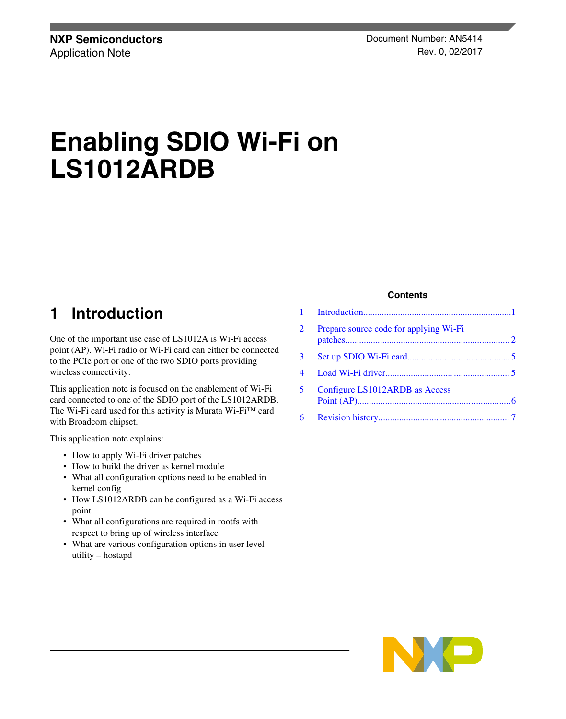# **Enabling SDIO Wi-Fi on LS1012ARDB**

### **1 Introduction**

One of the important use case of LS1012A is Wi-Fi access point (AP). Wi-Fi radio or Wi-Fi card can either be connected to the PCIe port or one of the two SDIO ports providing wireless connectivity.

This application note is focused on the enablement of Wi-Fi card connected to one of the SDIO port of the LS1012ARDB. The Wi-Fi card used for this activity is Murata Wi-Fi™ card with Broadcom chipset.

This application note explains:

- How to apply Wi-Fi driver patches
- How to build the driver as kernel module
- What all configuration options need to be enabled in kernel config
- How LS1012ARDB can be configured as a Wi-Fi access point
- What all configurations are required in rootfs with respect to bring up of wireless interface
- What are various configuration options in user level utility – hostapd

#### **Contents**

| $\overline{2}$ | Prepare source code for applying Wi-Fi |  |
|----------------|----------------------------------------|--|
| $3 \quad$      |                                        |  |
| 4              |                                        |  |
| 5              | Configure LS1012ARDB as Access         |  |
|                |                                        |  |

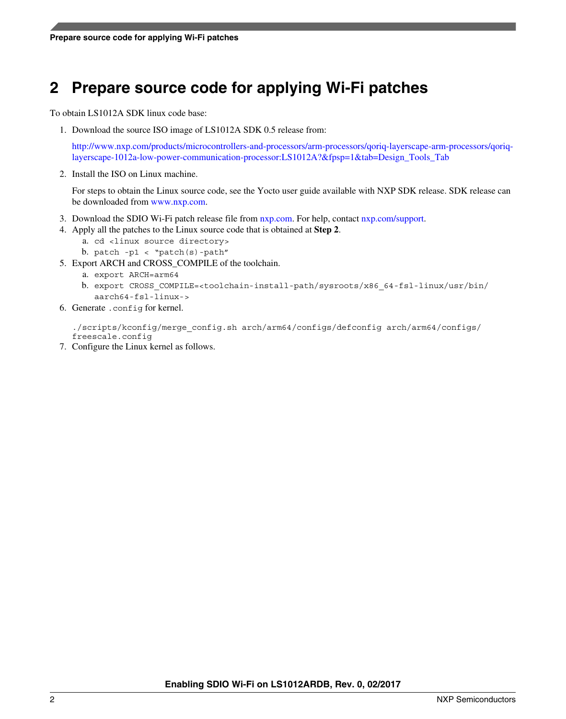# <span id="page-1-0"></span>**2 Prepare source code for applying Wi-Fi patches**

To obtain LS1012A SDK linux code base:

1. Download the source ISO image of LS1012A SDK 0.5 release from:

[http://www.nxp.com/products/microcontrollers-and-processors/arm-processors/qoriq-layerscape-arm-processors/qoriq](http://www.nxp.com/products/microcontrollers-and-processors/arm-processors/qoriq-layerscape-arm-processors/qoriq-layerscape-1012a-low-power-communication-processor:LS1012A?&fpsp=1&tab=Design_Tools_Tab)[layerscape-1012a-low-power-communication-processor:LS1012A?&fpsp=1&tab=Design\\_Tools\\_Tab](http://www.nxp.com/products/microcontrollers-and-processors/arm-processors/qoriq-layerscape-arm-processors/qoriq-layerscape-1012a-low-power-communication-processor:LS1012A?&fpsp=1&tab=Design_Tools_Tab)

2. Install the ISO on Linux machine.

For steps to obtain the Linux source code, see the Yocto user guide available with NXP SDK release. SDK release can be downloaded from [www.nxp.com](http://www.nxp.com).

- 3. Download the SDIO Wi-Fi patch release file from [nxp.com](http://nxp.com). For help, contact [nxp.com/support](http://nxp.com/support).
- 4. Apply all the patches to the Linux source code that is obtained at **Step 2**.
	- a. cd <linux source directory>
	- b. patch -p1 < "patch(s)-path"
- 5. Export ARCH and CROSS\_COMPILE of the toolchain.
	- a. export ARCH=arm64
	- b. export CROSS\_COMPILE=<toolchain-install-path/sysroots/x86\_64-fsl-linux/usr/bin/ aarch64-fsl-linux->
- 6. Generate .config for kernel.

./scripts/kconfig/merge\_config.sh arch/arm64/configs/defconfig arch/arm64/configs/ freescale.config

7. Configure the Linux kernel as follows.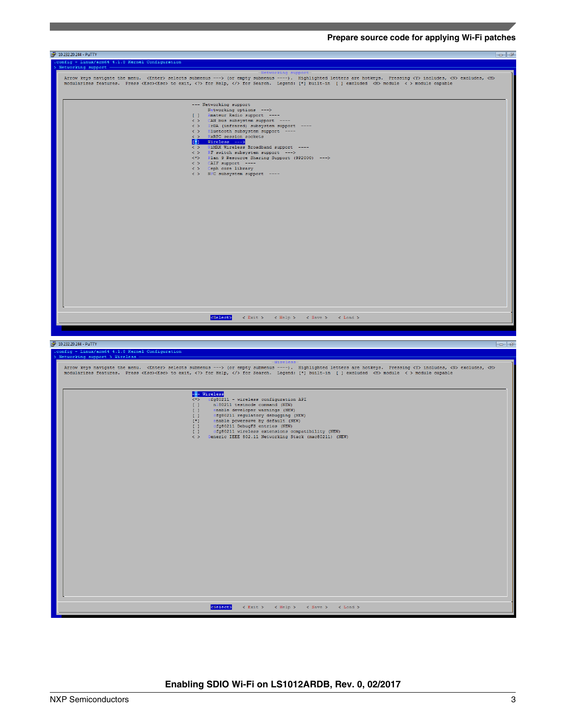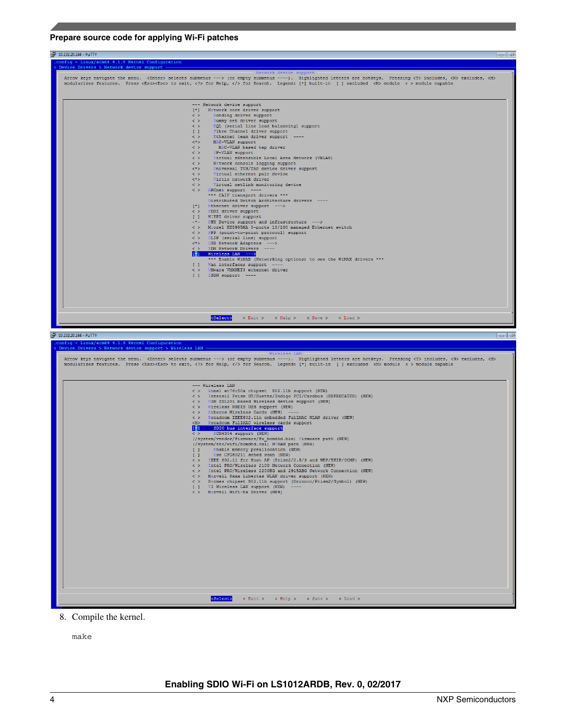#### **Prepare source code for applying Wi-Fi patches**



- <Select> < Exit > < Help > < Save > < Load >
- 8. Compile the kernel.

make

< > Intel PRO/Wireless 2100 Metwork Connection (NEW)<br>
< > Intel PRO/Wireless 2200BG and 2915ABG Network Connection (NEW)<br>
< > Marvell Bxxx Libertas WLAN driver support (NEW)<br>
< > Hermes chipset 002.11b support (Orinoco/Pri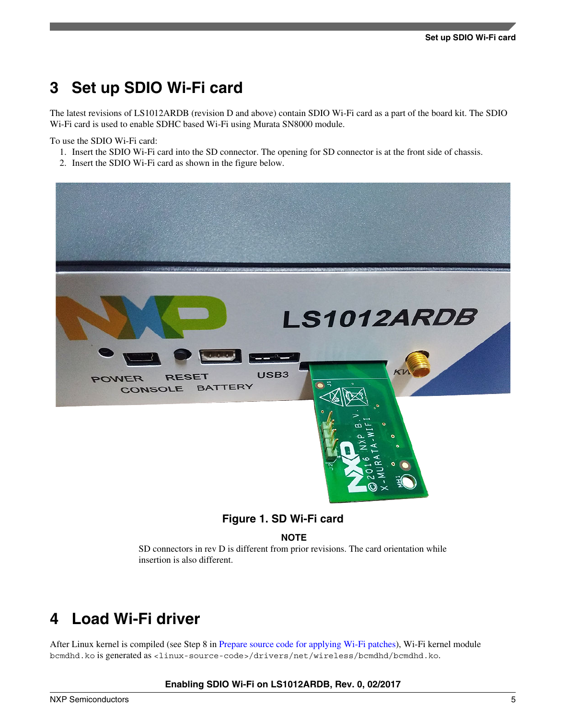### <span id="page-4-0"></span>**3 Set up SDIO Wi-Fi card**

The latest revisions of LS1012ARDB (revision D and above) contain SDIO Wi-Fi card as a part of the board kit. The SDIO Wi-Fi card is used to enable SDHC based Wi-Fi using Murata SN8000 module.

To use the SDIO Wi-Fi card:

- 1. Insert the SDIO Wi-Fi card into the SD connector. The opening for SD connector is at the front side of chassis.
- 2. Insert the SDIO Wi-Fi card as shown in the figure below.



### **Figure 1. SD Wi-Fi card**

**NOTE**

SD connectors in rev D is different from prior revisions. The card orientation while insertion is also different.

### **4 Load Wi-Fi driver**

After Linux kernel is compiled (see Step 8 in [Prepare source code for applying Wi-Fi patches](#page-1-0)), Wi-Fi kernel module bcmdhd.ko is generated as <linux-source-code>/drivers/net/wireless/bcmdhd/bcmdhd.ko.

#### **Enabling SDIO Wi-Fi on LS1012ARDB, Rev. 0, 02/2017**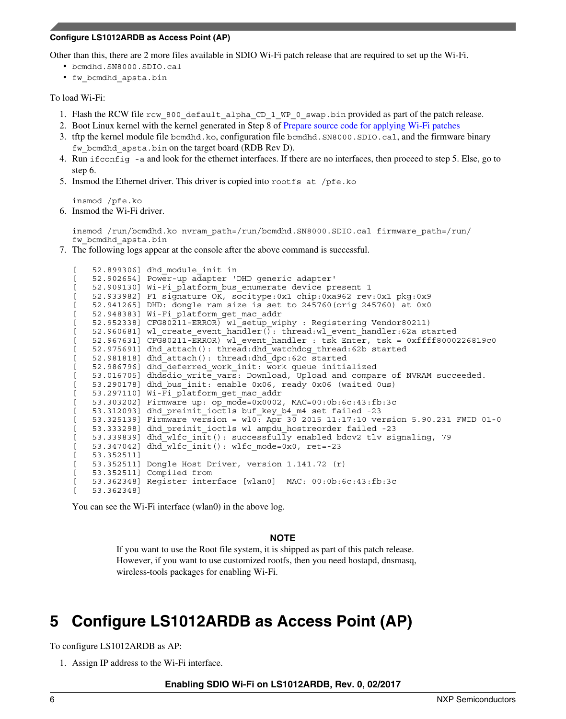#### <span id="page-5-0"></span>**Configure LS1012ARDB as Access Point (AP)**

Other than this, there are 2 more files available in SDIO Wi-Fi patch release that are required to set up the Wi-Fi.

- bcmdhd.SN8000.SDIO.cal
- fw\_bcmdhd\_apsta.bin

#### To load Wi-Fi:

- 1. Flash the RCW file rcw 800 default alpha CD 1 WP 0 swap.bin provided as part of the patch release.
- 2. Boot Linux kernel with the kernel generated in Step 8 of [Prepare source code for applying Wi-Fi patches](#page-1-0)
- 3. tftp the kernel module file bcmdhd.ko, configuration file bcmdhd.SN8000.SDIO.cal, and the firmware binary fw bcmdhd apsta.bin on the target board (RDB Rev D).
- 4. Run ifconfig -a and look for the ethernet interfaces. If there are no interfaces, then proceed to step 5. Else, go to step 6.
- 5. Insmod the Ethernet driver. This driver is copied into rootfs at /pfe.ko

insmod /pfe.ko

6. Insmod the Wi-Fi driver.

insmod /run/bcmdhd.ko nvram\_path=/run/bcmdhd.SN8000.SDIO.cal firmware\_path=/run/ fw\_bcmdhd\_apsta.bin

7. The following logs appear at the console after the above command is successful.

```
[ 52.899306] dhd module init in
[ 52.902654] Power-up adapter 'DHD generic adapter'
[ 52.909130] Wi-Fi platform bus enumerate device present 1
[ 52.933982] F1 signature OK, socitype:0x1 chip:0xa962 rev:0x1 pkg:0x9
[ 52.941265] DHD: dongle ram size is set to 245760(orig 245760) at 0x0
[ 52.948383] Wi-Fi platform_get_mac_addr
[ 52.952338] CFG80211-ERROR) wl setup wiphy : Registering Vendor80211)
[ 52.960681] wl create event handler(): thread:wl event handler:62a started
[ 52.967631] CFG80211-ERROR) wl_event_handler : tsk Enter, tsk = 0xffff8000226819c0
[ 52.975691] dhd_attach(): thread:dhd_watchdog_thread:62b started
[ 52.981818] dhd_attach(): thread:dhd_dpc:62c started
   [ 52.986796] dhd_deferred_work_init: work queue initialized
   [ 53.016705] dhdsdio_write_vars: Download, Upload and compare of NVRAM succeeded.
[ 53.290178] dhd_bus_init: enable 0x06, ready 0x06 (waited 0us)
[ 53.297110] Wi-Fi platform get mac addr
   [ 53.303202] Firmware up: op_mode=0x0002, MAC=00:0b:6c:43:fb:3c
[ 53.312093] dhd preinit ioctls buf key b4 m4 set failed -23
[ 53.325139] Firmware version = wl0: Apr 30 2015 11:17:10 version 5.90.231 FWID 01-0
[ 53.333298] dhd preinit ioctls wl ampdu hostreorder failed -23
[ 53.339839] dhd_wlfc_init(): successfully enabled bdcv2 tlv signaling, 79
[ 53.347042] dhd wlfc init(): wlfc mode=0x0, ret=-23
   [ 53.352511]
   [ 53.352511] Dongle Host Driver, version 1.141.72 (r)
[ 53.352511] Compiled from
[ 53.362348] Register interface [wlan0] MAC: 00:0b:6c:43:fb:3c
[ 53.362348]
```
You can see the Wi-Fi interface (wlan0) in the above log.

### **NOTE**

If you want to use the Root file system, it is shipped as part of this patch release. However, if you want to use customized rootfs, then you need hostapd, dnsmasq, wireless-tools packages for enabling Wi-Fi.

# **5 Configure LS1012ARDB as Access Point (AP)**

To configure LS1012ARDB as AP:

1. Assign IP address to the Wi-Fi interface.

**Enabling SDIO Wi-Fi on LS1012ARDB, Rev. 0, 02/2017**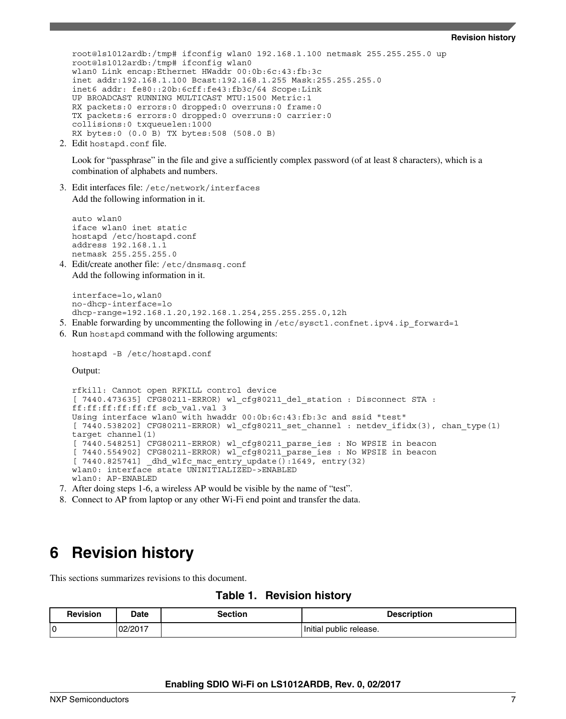#### **Revision history**

<span id="page-6-0"></span>root@ls1012ardb:/tmp# ifconfig wlan0 192.168.1.100 netmask 255.255.255.0 up root@ls1012ardb:/tmp# ifconfig wlan0 wlan0 Link encap:Ethernet HWaddr 00:0b:6c:43:fb:3c inet addr:192.168.1.100 Bcast:192.168.1.255 Mask:255.255.255.0 inet6 addr: fe80::20b:6cff:fe43:fb3c/64 Scope:Link UP BROADCAST RUNNING MULTICAST MTU:1500 Metric:1 RX packets:0 errors:0 dropped:0 overruns:0 frame:0 TX packets:6 errors:0 dropped:0 overruns:0 carrier:0 collisions:0 txqueuelen:1000 RX bytes:0 (0.0 B) TX bytes:508 (508.0 B)

2. Edit hostapd.conf file.

Look for "passphrase" in the file and give a sufficiently complex password (of at least 8 characters), which is a combination of alphabets and numbers.

3. Edit interfaces file: /etc/network/interfaces Add the following information in it.

auto wlan0 iface wlan0 inet static hostapd /etc/hostapd.conf address 192.168.1.1 netmask 255.255.255.0

4. Edit/create another file: /etc/dnsmasq.conf Add the following information in it.

interface=lo,wlan0 no-dhcp-interface=lo dhcp-range=192.168.1.20,192.168.1.254,255.255.255.0,12h

- 5. Enable forwarding by uncommenting the following in  $/etc/system$ : confrict.ipv4.ip forward=1
- 6. Run hostapd command with the following arguments:

```
hostapd -B /etc/hostapd.conf
```
Output:

```
rfkill: Cannot open RFKILL control device
[ 7440.473635] CFG80211-ERROR) wl_cfg80211_del_station : Disconnect STA : 
ff:ff:ff:ff:ff:ff scb_val.val 3
Using interface wlan0 with hwaddr 00:0b:6c:43:fb:3c and ssid "test"
[ 7440.538202] CFG80211-ERROR) wl_cfg80211_set_channel : netdev_ifidx(3), chan_type(1) 
target channel(1)
[ 7440.548251] CFG80211-ERROR) wl_cfg80211_parse_ies : No WPSIE in beacon
[ 7440.554902] CFG80211-ERROR) wl cfg80211 parse ies : No WPSIE in beacon
[ 7440.825741] _dhd_wlfc_mac_entry_update():1649, entry(32)
wlan0: interface state UNINITIALIZED->ENABLED
wlan0: AP-ENABLED
```
7. After doing steps 1-6, a wireless AP would be visible by the name of "test".

8. Connect to AP from laptop or any other Wi-Fi end point and transfer the data.

### **6 Revision history**

This sections summarizes revisions to this document.

### **Table 1. Revision history**

| <b>Revision</b> | Date    | <b>Section</b> | <b>Description</b>      |
|-----------------|---------|----------------|-------------------------|
| 0               | 02/2017 |                | Initial public release. |